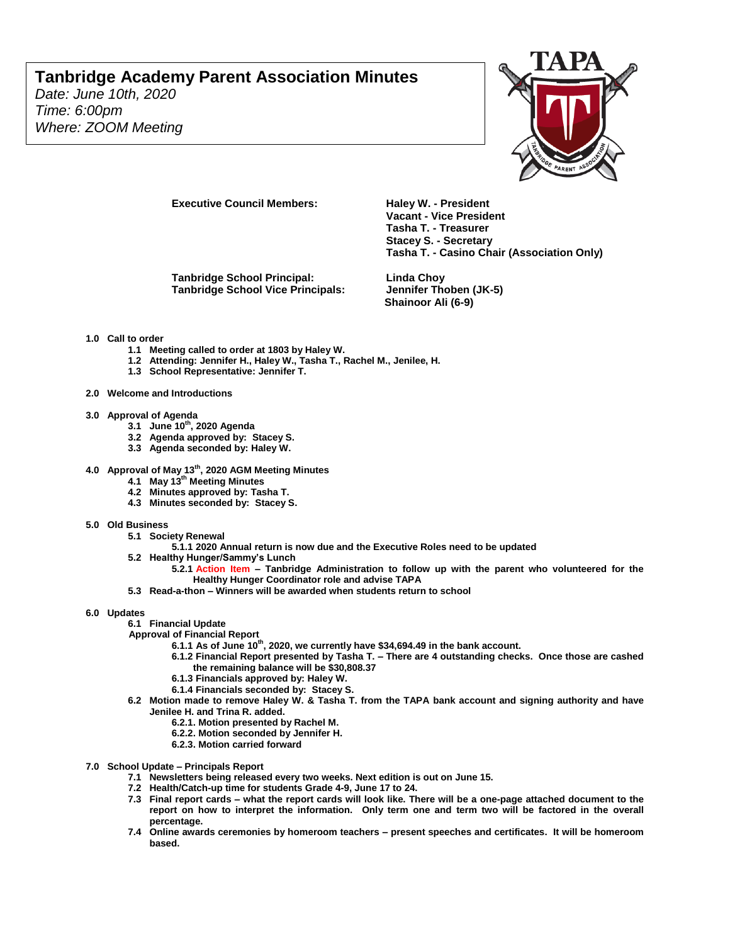## **Tanbridge Academy Parent Association Minutes**

*Date: June 10th, 2020 Time: 6:00pm Where: ZOOM Meeting*



**Executive Council Members: Haley W. - President** 

**Tanbridge School Principal: Linda Choy Tanbridge School Vice Principals: Jennifer Thoben (JK-5)**

**Vacant - Vice President Tasha T. - Treasurer Stacey S. - Secretary Tasha T. - Casino Chair (Association Only)**

**Shainoor Ali (6-9)**

## **1.0 Call to order**

- **1.1 Meeting called to order at 1803 by Haley W.**
- **1.2 Attending: Jennifer H., Haley W., Tasha T., Rachel M., Jenilee, H.**
- **1.3 School Representative: Jennifer T.**
- **2.0 Welcome and Introductions**
- **3.0 Approval of Agenda** 
	- **3.1 June 10th, 2020 Agenda**
	- **3.2 Agenda approved by: Stacey S.**
	- **3.3 Agenda seconded by: Haley W.**
- **4.0 Approval of May 13th, 2020 AGM Meeting Minutes**
	- **4.1 May 13th Meeting Minutes**
	- **4.2 Minutes approved by: Tasha T.**
	- **4.3 Minutes seconded by: Stacey S.**
- **5.0 Old Business** 
	- **5.1 Society Renewal** 
		- **5.1.1 2020 Annual return is now due and the Executive Roles need to be updated**
	- **5.2 Healthy Hunger/Sammy's Lunch** 
		- **5.2.1 Action Item – Tanbridge Administration to follow up with the parent who volunteered for the Healthy Hunger Coordinator role and advise TAPA**
	- **5.3 Read-a-thon – Winners will be awarded when students return to school**

### **6.0 Updates**

- **6.1 Financial Update**
- **Approval of Financial Report** 
	- **6.1.1 As of June 10th, 2020, we currently have \$34,694.49 in the bank account.** 
		- **6.1.2 Financial Report presented by Tasha T. – There are 4 outstanding checks. Once those are cashed the remaining balance will be \$30,808.37**
		- **6.1.3 Financials approved by: Haley W.**
		- **6.1.4 Financials seconded by: Stacey S.**
- **6.2 Motion made to remove Haley W. & Tasha T. from the TAPA bank account and signing authority and have Jenilee H. and Trina R. added.**
	- **6.2.1. Motion presented by Rachel M.**
	- **6.2.2. Motion seconded by Jennifer H.**
	- **6.2.3. Motion carried forward**
- **7.0 School Update – Principals Report**
	- **7.1 Newsletters being released every two weeks. Next edition is out on June 15.**
	- **7.2 Health/Catch-up time for students Grade 4-9, June 17 to 24.**
	- **7.3 Final report cards – what the report cards will look like. There will be a one-page attached document to the report on how to interpret the information. Only term one and term two will be factored in the overall percentage.**
	- **7.4 Online awards ceremonies by homeroom teachers – present speeches and certificates. It will be homeroom based.**